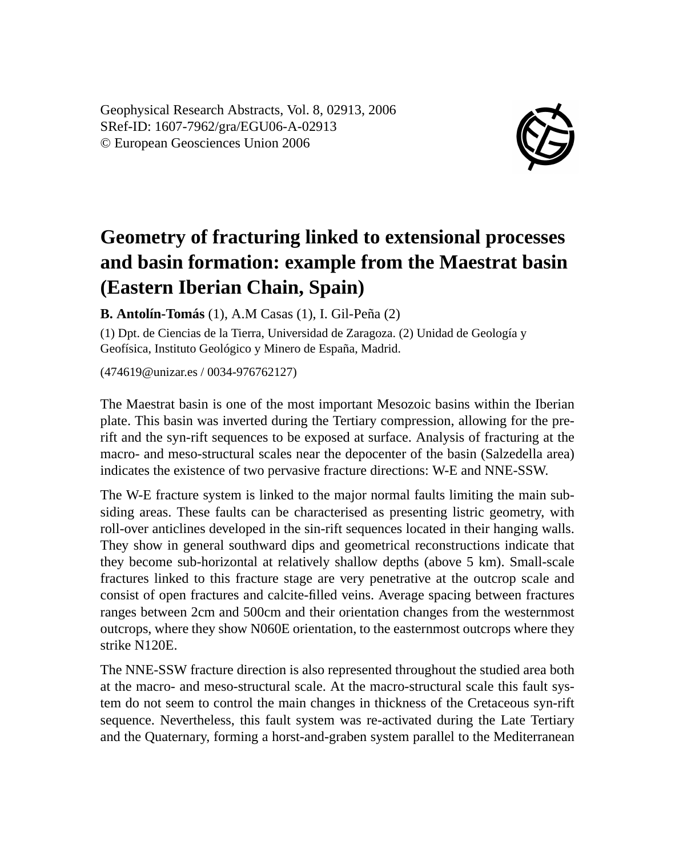Geophysical Research Abstracts, Vol. 8, 02913, 2006 SRef-ID: 1607-7962/gra/EGU06-A-02913 © European Geosciences Union 2006



## **Geometry of fracturing linked to extensional processes and basin formation: example from the Maestrat basin (Eastern Iberian Chain, Spain)**

**B. Antolín-Tomás** (1), A.M Casas (1), I. Gil-Peña (2)

(1) Dpt. de Ciencias de la Tierra, Universidad de Zaragoza. (2) Unidad de Geología y Geofísica, Instituto Geológico y Minero de España, Madrid.

(474619@unizar.es / 0034-976762127)

The Maestrat basin is one of the most important Mesozoic basins within the Iberian plate. This basin was inverted during the Tertiary compression, allowing for the prerift and the syn-rift sequences to be exposed at surface. Analysis of fracturing at the macro- and meso-structural scales near the depocenter of the basin (Salzedella area) indicates the existence of two pervasive fracture directions: W-E and NNE-SSW.

The W-E fracture system is linked to the major normal faults limiting the main subsiding areas. These faults can be characterised as presenting listric geometry, with roll-over anticlines developed in the sin-rift sequences located in their hanging walls. They show in general southward dips and geometrical reconstructions indicate that they become sub-horizontal at relatively shallow depths (above 5 km). Small-scale fractures linked to this fracture stage are very penetrative at the outcrop scale and consist of open fractures and calcite-filled veins. Average spacing between fractures ranges between 2cm and 500cm and their orientation changes from the westernmost outcrops, where they show N060E orientation, to the easternmost outcrops where they strike N120E.

The NNE-SSW fracture direction is also represented throughout the studied area both at the macro- and meso-structural scale. At the macro-structural scale this fault system do not seem to control the main changes in thickness of the Cretaceous syn-rift sequence. Nevertheless, this fault system was re-activated during the Late Tertiary and the Quaternary, forming a horst-and-graben system parallel to the Mediterranean